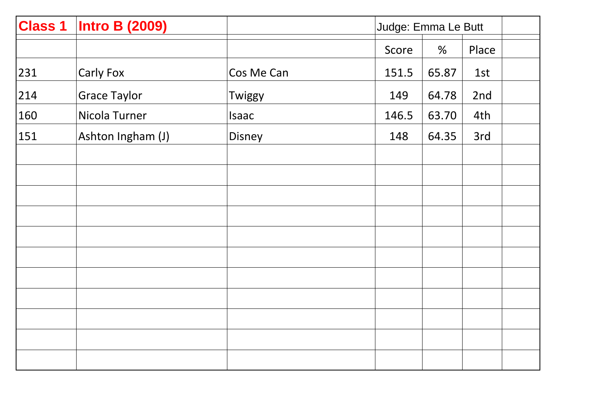| <b>Class 1</b> | <b>Intro B (2009)</b> |            | Judge: Emma Le Butt |       |       |
|----------------|-----------------------|------------|---------------------|-------|-------|
|                |                       |            | Score               | %     | Place |
| 231            | Carly Fox             | Cos Me Can | 151.5               | 65.87 | 1st   |
| 214            | <b>Grace Taylor</b>   | Twiggy     | 149                 | 64.78 | 2nd   |
| 160            | Nicola Turner         | Isaac      | 146.5               | 63.70 | 4th   |
| 151            | Ashton Ingham (J)     | Disney     | 148                 | 64.35 | 3rd   |
|                |                       |            |                     |       |       |
|                |                       |            |                     |       |       |
|                |                       |            |                     |       |       |
|                |                       |            |                     |       |       |
|                |                       |            |                     |       |       |
|                |                       |            |                     |       |       |
|                |                       |            |                     |       |       |
|                |                       |            |                     |       |       |
|                |                       |            |                     |       |       |
|                |                       |            |                     |       |       |
|                |                       |            |                     |       |       |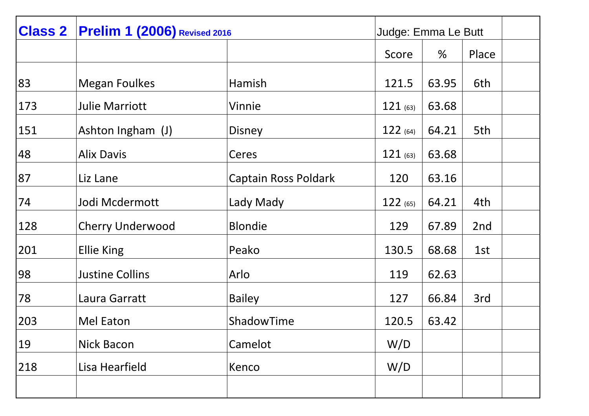| <b>Class 2</b> | <b>Prelim 1 (2006)</b> Revised 2016 |                             | Judge: Emma Le Butt |       |       |  |
|----------------|-------------------------------------|-----------------------------|---------------------|-------|-------|--|
|                |                                     |                             | Score               | %     | Place |  |
| 83             | <b>Megan Foulkes</b>                | Hamish                      | 121.5               | 63.95 | 6th   |  |
| 173            | <b>Julie Marriott</b>               | Vinnie                      | $121$ (63)          | 63.68 |       |  |
| 151            | Ashton Ingham (J)                   | <b>Disney</b>               | 122(64)             | 64.21 | 5th   |  |
| 48             | <b>Alix Davis</b>                   | Ceres                       | 121(63)             | 63.68 |       |  |
| 87             | Liz Lane                            | <b>Captain Ross Poldark</b> | 120                 | 63.16 |       |  |
| 74             | Jodi Mcdermott                      | Lady Mady                   | 122(65)             | 64.21 | 4th   |  |
| 128            | <b>Cherry Underwood</b>             | <b>Blondie</b>              | 129                 | 67.89 | 2nd   |  |
| 201            | <b>Ellie King</b>                   | Peako                       | 130.5               | 68.68 | 1st   |  |
| 98             | <b>Justine Collins</b>              | Arlo                        | 119                 | 62.63 |       |  |
| 78             | Laura Garratt                       | <b>Bailey</b>               | 127                 | 66.84 | 3rd   |  |
| 203            | Mel Eaton                           | ShadowTime                  | 120.5               | 63.42 |       |  |
| 19             | <b>Nick Bacon</b>                   | Camelot                     | W/D                 |       |       |  |
| 218            | Lisa Hearfield                      | Kenco                       | W/D                 |       |       |  |
|                |                                     |                             |                     |       |       |  |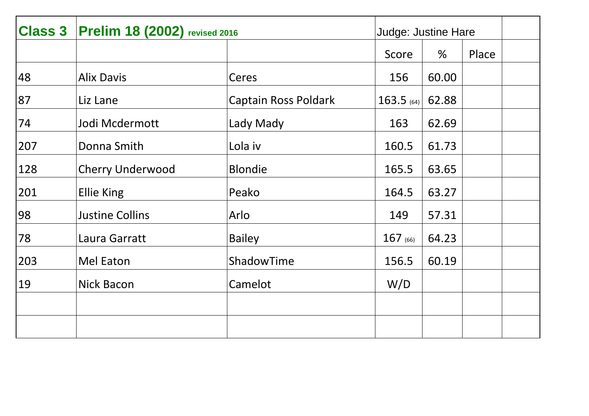| <b>Class 3</b> | <b>Prelim 18 (2002)</b> revised 2016 |                             | <b>Judge: Justine Hare</b> |       |       |  |
|----------------|--------------------------------------|-----------------------------|----------------------------|-------|-------|--|
|                |                                      |                             | Score                      | %     | Place |  |
| 48             | <b>Alix Davis</b>                    | Ceres                       | 156                        | 60.00 |       |  |
| 87             | Liz Lane                             | <b>Captain Ross Poldark</b> | $163.5$ (64)               | 62.88 |       |  |
| 74             | Jodi Mcdermott                       | Lady Mady                   | 163                        | 62.69 |       |  |
| 207            | Donna Smith                          | Lola iv                     | 160.5                      | 61.73 |       |  |
| 128            | <b>Cherry Underwood</b>              | <b>Blondie</b>              | 165.5                      | 63.65 |       |  |
| 201            | <b>Ellie King</b>                    | Peako                       | 164.5                      | 63.27 |       |  |
| 98             | <b>Justine Collins</b>               | Arlo                        | 149                        | 57.31 |       |  |
| 78             | Laura Garratt                        | <b>Bailey</b>               | $167$ (66)                 | 64.23 |       |  |
| 203            | Mel Eaton                            | ShadowTime                  | 156.5                      | 60.19 |       |  |
| 19             | <b>Nick Bacon</b>                    | Camelot                     | W/D                        |       |       |  |
|                |                                      |                             |                            |       |       |  |
|                |                                      |                             |                            |       |       |  |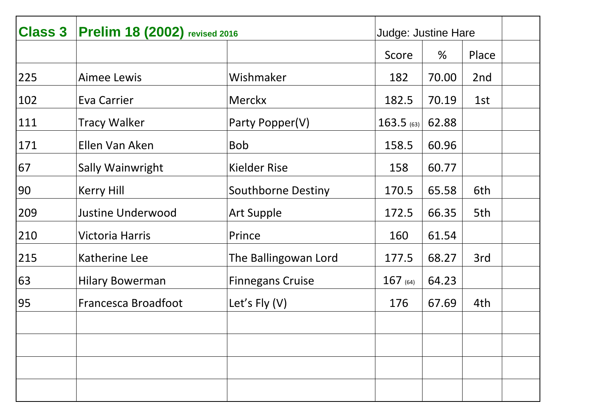| <b>Class 3</b> | <b>Prelim 18 (2002)</b> revised 2016 |                           | <b>Judge: Justine Hare</b> |       |       |  |
|----------------|--------------------------------------|---------------------------|----------------------------|-------|-------|--|
|                |                                      |                           | Score                      | $\%$  | Place |  |
| 225            | <b>Aimee Lewis</b>                   | Wishmaker                 | 182                        | 70.00 | 2nd   |  |
| 102            | Eva Carrier                          | <b>Merckx</b>             | 182.5                      | 70.19 | 1st   |  |
| 111            | <b>Tracy Walker</b>                  | Party Popper(V)           | $163.5$ (63)               | 62.88 |       |  |
| 171            | Ellen Van Aken                       | <b>Bob</b>                | 158.5                      | 60.96 |       |  |
| 67             | Sally Wainwright                     | <b>Kielder Rise</b>       | 158                        | 60.77 |       |  |
| 90             | <b>Kerry Hill</b>                    | <b>Southborne Destiny</b> | 170.5                      | 65.58 | 6th   |  |
| 209            | <b>Justine Underwood</b>             | <b>Art Supple</b>         | 172.5                      | 66.35 | 5th   |  |
| 210            | <b>Victoria Harris</b>               | Prince                    | 160                        | 61.54 |       |  |
| 215            | Katherine Lee                        | The Ballingowan Lord      | 177.5                      | 68.27 | 3rd   |  |
| 63             | <b>Hilary Bowerman</b>               | <b>Finnegans Cruise</b>   | $167$ (64)                 | 64.23 |       |  |
| 95             | Francesca Broadfoot                  | Let's $Fly(V)$            | 176                        | 67.69 | 4th   |  |
|                |                                      |                           |                            |       |       |  |
|                |                                      |                           |                            |       |       |  |
|                |                                      |                           |                            |       |       |  |
|                |                                      |                           |                            |       |       |  |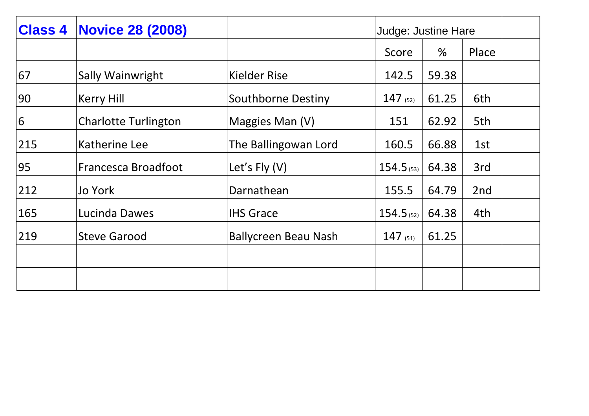| <b>Class 4</b> | <b>Novice 28 (2008)</b>     |                             |              | <b>Judge: Justine Hare</b> |       |  |
|----------------|-----------------------------|-----------------------------|--------------|----------------------------|-------|--|
|                |                             |                             | Score        | %                          | Place |  |
| 67             | Sally Wainwright            | <b>Kielder Rise</b>         | 142.5        | 59.38                      |       |  |
| 90             | Kerry Hill                  | <b>Southborne Destiny</b>   | $147$ (52)   | 61.25                      | 6th   |  |
| 6              | <b>Charlotte Turlington</b> | Maggies Man (V)             | 151          | 62.92                      | 5th   |  |
| 215            | Katherine Lee               | The Ballingowan Lord        | 160.5        | 66.88                      | 1st   |  |
| 95             | Francesca Broadfoot         | Let's $Fly(V)$              | $154.5$ (53) | 64.38                      | 3rd   |  |
| 212            | Jo York                     | Darnathean                  | 155.5        | 64.79                      | 2nd   |  |
| 165            | Lucinda Dawes               | <b>IHS Grace</b>            | $154.5$ (52) | 64.38                      | 4th   |  |
| 219            | <b>Steve Garood</b>         | <b>Ballycreen Beau Nash</b> | 147(51)      | 61.25                      |       |  |
|                |                             |                             |              |                            |       |  |
|                |                             |                             |              |                            |       |  |